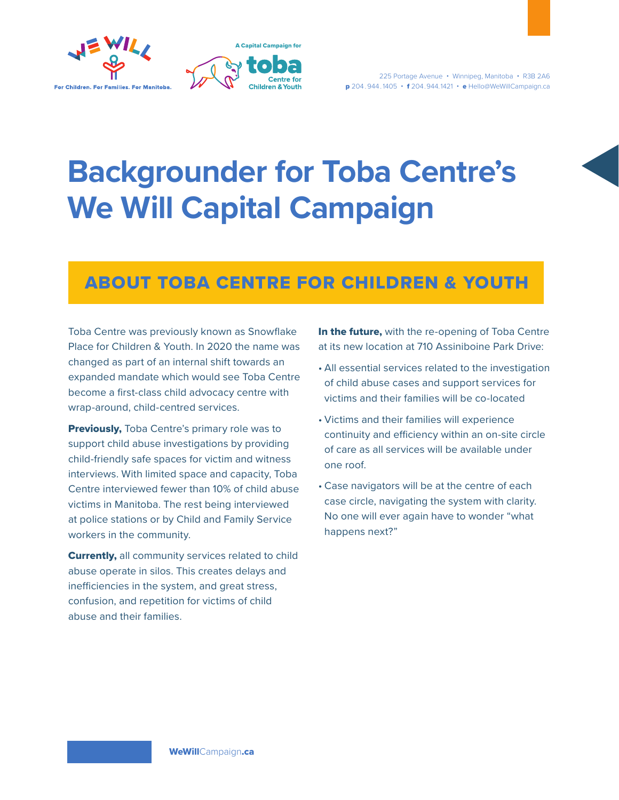



# **Backgrounder for Toba Centre's We Will Capital Campaign**

## ABOUT TOBA CENTRE FOR CHILDREN & YOUTH

Toba Centre was previously known as Snowflake Place for Children & Youth. In 2020 the name was changed as part of an internal shift towards an expanded mandate which would see Toba Centre become a first-class child advocacy centre with wrap-around, child-centred services.

**Previously, Toba Centre's primary role was to** support child abuse investigations by providing child-friendly safe spaces for victim and witness interviews. With limited space and capacity, Toba Centre interviewed fewer than 10% of child abuse victims in Manitoba. The rest being interviewed at police stations or by Child and Family Service workers in the community.

**Currently, all community services related to child** abuse operate in silos. This creates delays and inefficiencies in the system, and great stress, confusion, and repetition for victims of child abuse and their families.

In the future, with the re-opening of Toba Centre at its new location at 710 Assiniboine Park Drive:

- All essential services related to the investigation of child abuse cases and support services for victims and their families will be co-located
- Victims and their families will experience continuity and efficiency within an on-site circle of care as all services will be available under one roof.
- Case navigators will be at the centre of each case circle, navigating the system with clarity. No one will ever again have to wonder "what happens next?"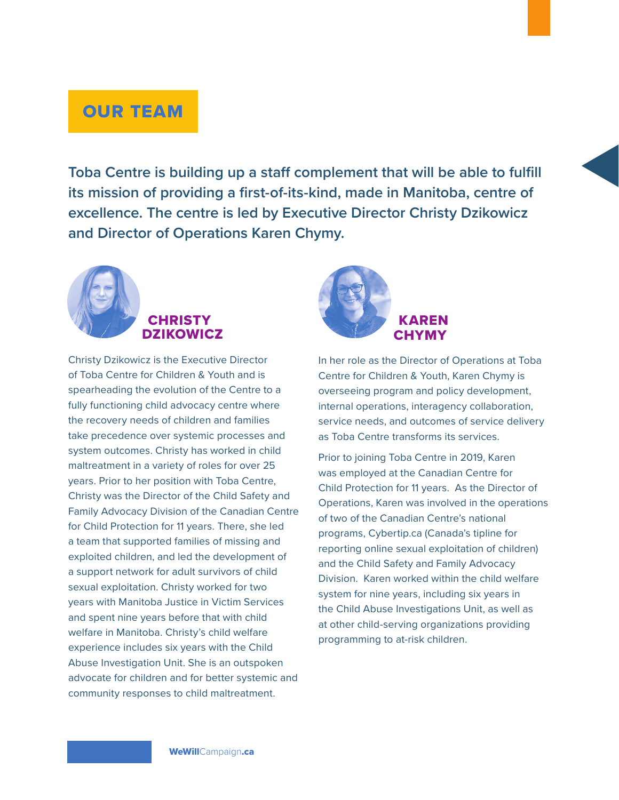## OUR TEAM

**Toba Centre is building up a staff complement that will be able to fulfill its mission of providing a first-of-its-kind, made in Manitoba, centre of excellence. The centre is led by Executive Director Christy Dzikowicz and Director of Operations Karen Chymy.**



#### **CHRISTY** DZIKOWICZ

Christy Dzikowicz is the Executive Director of Toba Centre for Children & Youth and is spearheading the evolution of the Centre to a fully functioning child advocacy centre where the recovery needs of children and families take precedence over systemic processes and system outcomes. Christy has worked in child maltreatment in a variety of roles for over 25 years. Prior to her position with Toba Centre, Christy was the Director of the Child Safety and Family Advocacy Division of the Canadian Centre for Child Protection for 11 years. There, she led a team that supported families of missing and exploited children, and led the development of a support network for adult survivors of child sexual exploitation. Christy worked for two years with Manitoba Justice in Victim Services and spent nine years before that with child welfare in Manitoba. Christy's child welfare experience includes six years with the Child Abuse Investigation Unit. She is an outspoken advocate for children and for better systemic and community responses to child maltreatment.



In her role as the Director of Operations at Toba Centre for Children & Youth, Karen Chymy is overseeing program and policy development, internal operations, interagency collaboration, service needs, and outcomes of service delivery as Toba Centre transforms its services.

Prior to joining Toba Centre in 2019, Karen was employed at the Canadian Centre for Child Protection for 11 years. As the Director of Operations, Karen was involved in the operations of two of the Canadian Centre's national programs, Cybertip.ca (Canada's tipline for reporting online sexual exploitation of children) and the Child Safety and Family Advocacy Division. Karen worked within the child welfare system for nine years, including six years in the Child Abuse Investigations Unit, as well as at other child-serving organizations providing programming to at-risk children.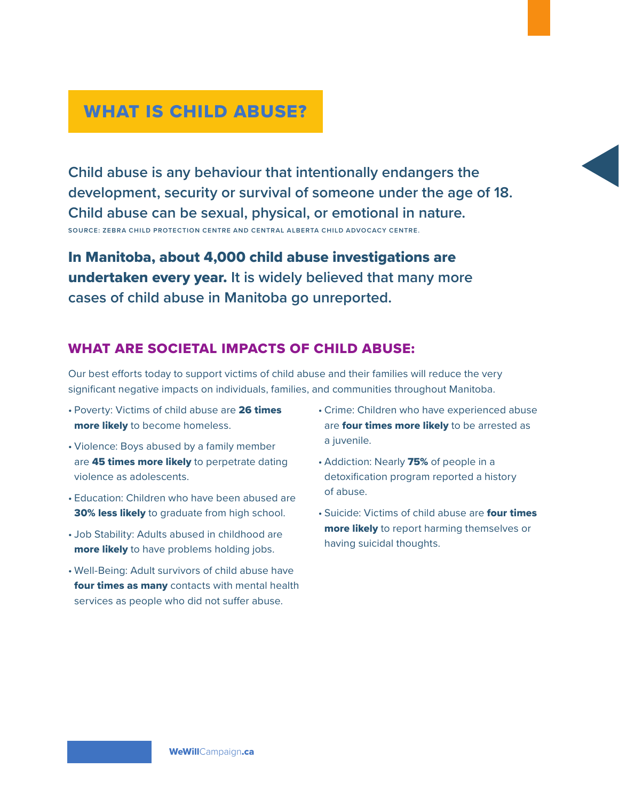## WHAT IS CHILD ABUSE?

**Child abuse is any behaviour that intentionally endangers the development, security or survival of someone under the age of 18. Child abuse can be sexual, physical, or emotional in nature. SOURCE: ZEBRA CHILD PROTECTION CENTRE AND CENTRAL ALBERTA CHILD ADVOCACY CENTRE.**

In Manitoba, about 4,000 child abuse investigations are undertaken every year. **It is widely believed that many more cases of child abuse in Manitoba go unreported.**

#### WHAT ARE SOCIETAL IMPACTS OF CHILD ABUSE:

Our best efforts today to support victims of child abuse and their families will reduce the very significant negative impacts on individuals, families, and communities throughout Manitoba.

- Poverty: Victims of child abuse are 26 times more likely to become homeless.
- Violence: Boys abused by a family member are 45 times more likely to perpetrate dating violence as adolescents.
- Education: Children who have been abused are 30% less likely to graduate from high school.
- Job Stability: Adults abused in childhood are more likely to have problems holding jobs.
- Well-Being: Adult survivors of child abuse have four times as many contacts with mental health services as people who did not suffer abuse.
- Crime: Children who have experienced abuse are four times more likely to be arrested as a juvenile.
- Addiction: Nearly 75% of people in a detoxification program reported a history of abuse.
- Suicide: Victims of child abuse are four times more likely to report harming themselves or having suicidal thoughts.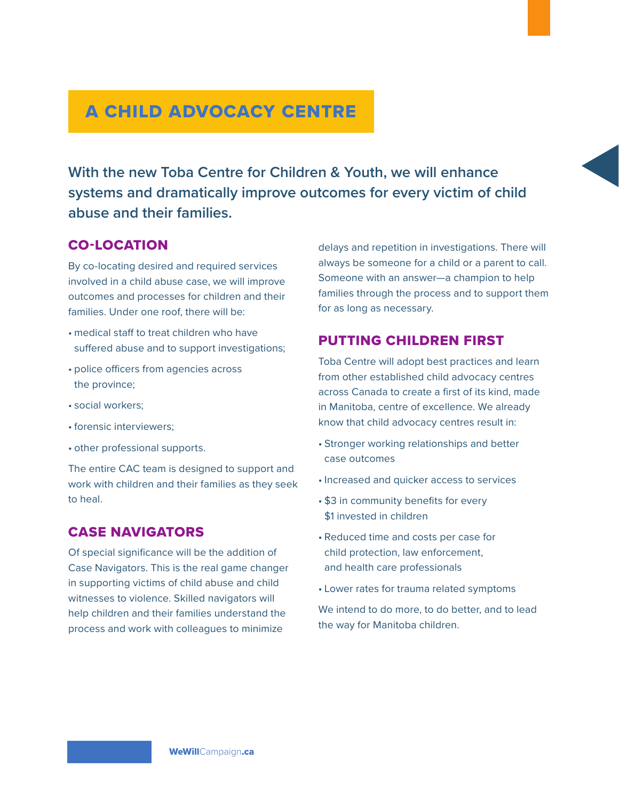# A CHILD ADVOCACY CENTRE

**With the new Toba Centre for Children & Youth, we will enhance systems and dramatically improve outcomes for every victim of child abuse and their families.**

#### CO-LOCATION

By co-locating desired and required services involved in a child abuse case, we will improve outcomes and processes for children and their families. Under one roof, there will be:

- medical staff to treat children who have suffered abuse and to support investigations;
- police officers from agencies across the province;
- social workers;
- forensic interviewers;
- other professional supports.

The entire CAC team is designed to support and work with children and their families as they seek to heal.

#### CASE NAVIGATORS

Of special significance will be the addition of Case Navigators. This is the real game changer in supporting victims of child abuse and child witnesses to violence. Skilled navigators will help children and their families understand the process and work with colleagues to minimize

delays and repetition in investigations. There will always be someone for a child or a parent to call. Someone with an answer—a champion to help families through the process and to support them for as long as necessary.

#### PUTTING CHILDREN FIRST

Toba Centre will adopt best practices and learn from other established child advocacy centres across Canada to create a first of its kind, made in Manitoba, centre of excellence. We already know that child advocacy centres result in:

- Stronger working relationships and better case outcomes
- Increased and quicker access to services
- \$3 in community benefits for every \$1 invested in children
- Reduced time and costs per case for child protection, law enforcement, and health care professionals
- Lower rates for trauma related symptoms

We intend to do more, to do better, and to lead the way for Manitoba children.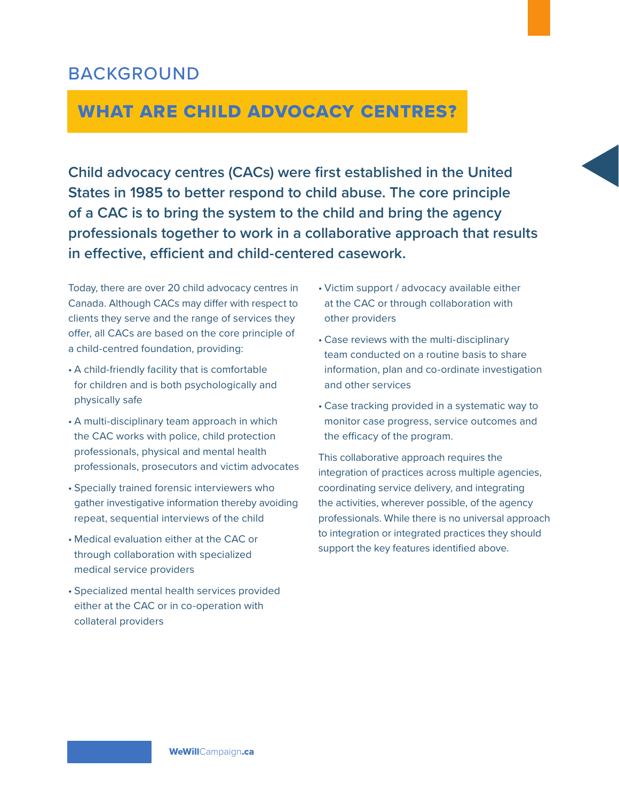## BACKGROUND

## WHAT ARE CHILD ADVOCACY CENTRES?

**Child advocacy centres (CACs) were first established in the United States in 1985 to better respond to child abuse. The core principle of a CAC is to bring the system to the child and bring the agency professionals together to work in a collaborative approach that results in effective, efficient and child-centered casework.**

Today, there are over 20 child advocacy centres in Canada. Although CACs may differ with respect to clients they serve and the range of services they offer, all CACs are based on the core principle of a child-centred foundation, providing:

- A child-friendly facility that is comfortable for children and is both psychologically and physically safe
- A multi-disciplinary team approach in which the CAC works with police, child protection professionals, physical and mental health professionals, prosecutors and victim advocates
- Specially trained forensic interviewers who gather investigative information thereby avoiding repeat, sequential interviews of the child
- Medical evaluation either at the CAC or through collaboration with specialized medical service providers
- Specialized mental health services provided either at the CAC or in co-operation with collateral providers
- Victim support / advocacy available either at the CAC or through collaboration with other providers
- Case reviews with the multi-disciplinary team conducted on a routine basis to share information, plan and co-ordinate investigation and other services
- Case tracking provided in a systematic way to monitor case progress, service outcomes and the efficacy of the program.

This collaborative approach requires the integration of practices across multiple agencies, coordinating service delivery, and integrating the activities, wherever possible, of the agency professionals. While there is no universal approach to integration or integrated practices they should support the key features identified above.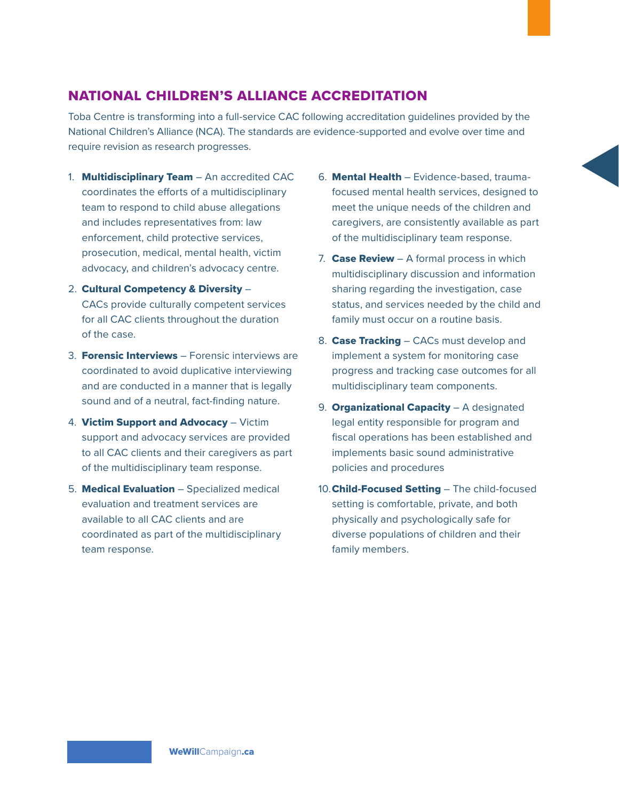### NATIONAL CHILDREN'S ALLIANCE ACCREDITATION

Toba Centre is transforming into a full-service CAC following accreditation guidelines provided by the National Children's Alliance (NCA). The standards are evidence-supported and evolve over time and require revision as research progresses.

- 1. **Multidisciplinary Team** An accredited CAC coordinates the efforts of a multidisciplinary team to respond to child abuse allegations and includes representatives from: law enforcement, child protective services, prosecution, medical, mental health, victim advocacy, and children's advocacy centre.
- 2. Cultural Competency & Diversity CACs provide culturally competent services for all CAC clients throughout the duration of the case.
- 3. **Forensic Interviews** Forensic interviews are coordinated to avoid duplicative interviewing and are conducted in a manner that is legally sound and of a neutral, fact-finding nature.
- 4. Victim Support and Advocacy Victim support and advocacy services are provided to all CAC clients and their caregivers as part of the multidisciplinary team response.
- 5. **Medical Evaluation** Specialized medical evaluation and treatment services are available to all CAC clients and are coordinated as part of the multidisciplinary team response.
- 6. Mental Health Evidence-based, traumafocused mental health services, designed to meet the unique needs of the children and caregivers, are consistently available as part of the multidisciplinary team response.
- 7. **Case Review**  $-$  A formal process in which multidisciplinary discussion and information sharing regarding the investigation, case status, and services needed by the child and family must occur on a routine basis.
- 8. Case Tracking CACs must develop and implement a system for monitoring case progress and tracking case outcomes for all multidisciplinary team components.
- 9. **Organizational Capacity** A designated legal entity responsible for program and fiscal operations has been established and implements basic sound administrative policies and procedures
- 10.Child-Focused Setting The child-focused setting is comfortable, private, and both physically and psychologically safe for diverse populations of children and their family members.